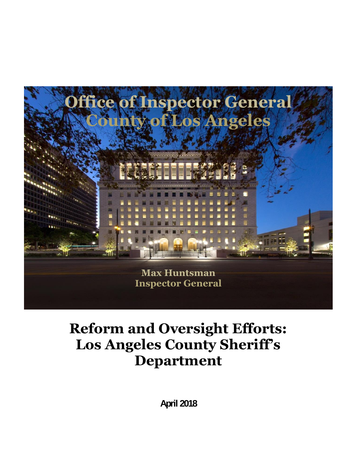

# **Reform and Oversight Efforts: Los Angeles County Sheriff's Department**

**April 2018**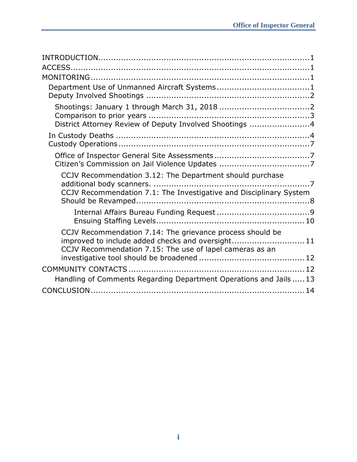| District Attorney Review of Deputy Involved Shootings 4            |  |
|--------------------------------------------------------------------|--|
|                                                                    |  |
|                                                                    |  |
|                                                                    |  |
| CCJV Recommendation 3.12: The Department should purchase           |  |
| CCJV Recommendation 7.1: The Investigative and Disciplinary System |  |
|                                                                    |  |
|                                                                    |  |
| CCJV Recommendation 7.14: The grievance process should be          |  |
| improved to include added checks and oversight 11                  |  |
| CCJV Recommendation 7.15: The use of lapel cameras as an           |  |
|                                                                    |  |
|                                                                    |  |
| Handling of Comments Regarding Department Operations and Jails  13 |  |
|                                                                    |  |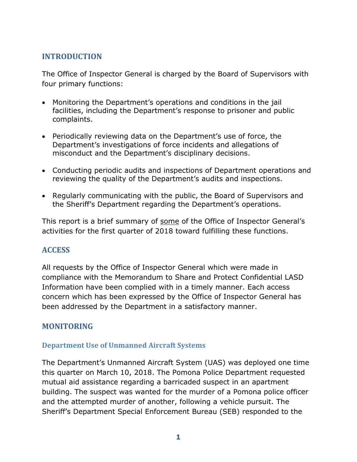# **INTRODUCTION**

The Office of Inspector General is charged by the Board of Supervisors with four primary functions:

- Monitoring the Department's operations and conditions in the jail facilities, including the Department's response to prisoner and public complaints.
- Periodically reviewing data on the Department's use of force, the Department's investigations of force incidents and allegations of misconduct and the Department's disciplinary decisions.
- Conducting periodic audits and inspections of Department operations and reviewing the quality of the Department's audits and inspections.
- Regularly communicating with the public, the Board of Supervisors and the Sheriff's Department regarding the Department's operations.

This report is a brief summary of some of the Office of Inspector General's activities for the first quarter of 2018 toward fulfilling these functions.

# **ACCESS**

All requests by the Office of Inspector General which were made in compliance with the Memorandum to Share and Protect Confidential LASD Information have been complied with in a timely manner. Each access concern which has been expressed by the Office of Inspector General has been addressed by the Department in a satisfactory manner.

# **MONITORING**

### **Department Use of Unmanned Aircraft Systems**

The Department's Unmanned Aircraft System (UAS) was deployed one time this quarter on March 10, 2018. The Pomona Police Department requested mutual aid assistance regarding a barricaded suspect in an apartment building. The suspect was wanted for the murder of a Pomona police officer and the attempted murder of another, following a vehicle pursuit. The Sheriff's Department Special Enforcement Bureau (SEB) responded to the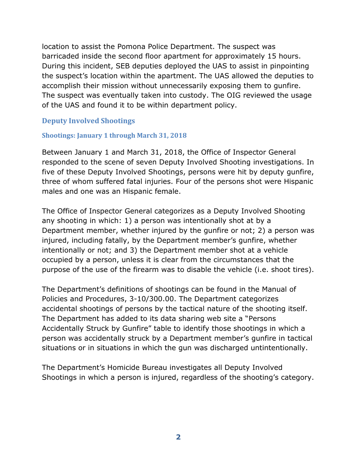location to assist the Pomona Police Department. The suspect was barricaded inside the second floor apartment for approximately 15 hours. During this incident, SEB deputies deployed the UAS to assist in pinpointing the suspect's location within the apartment. The UAS allowed the deputies to accomplish their mission without unnecessarily exposing them to gunfire. The suspect was eventually taken into custody. The OIG reviewed the usage of the UAS and found it to be within department policy.

## **Deputy Involved Shootings**

#### **Shootings: January 1 through March 31, 2018**

Between January 1 and March 31, 2018, the Office of Inspector General responded to the scene of seven Deputy Involved Shooting investigations. In five of these Deputy Involved Shootings, persons were hit by deputy gunfire, three of whom suffered fatal injuries. Four of the persons shot were Hispanic males and one was an Hispanic female.

The Office of Inspector General categorizes as a Deputy Involved Shooting any shooting in which: 1) a person was intentionally shot at by a Department member, whether injured by the gunfire or not; 2) a person was injured, including fatally, by the Department member's gunfire, whether intentionally or not; and 3) the Department member shot at a vehicle occupied by a person, unless it is clear from the circumstances that the purpose of the use of the firearm was to disable the vehicle (i.e. shoot tires).

The Department's definitions of shootings can be found in the Manual of Policies and Procedures, 3-10/300.00. The Department categorizes accidental shootings of persons by the tactical nature of the shooting itself. The Department has added to its data sharing web site a "Persons Accidentally Struck by Gunfire" table to identify those shootings in which a person was accidentally struck by a Department member's gunfire in tactical situations or in situations in which the gun was discharged untintentionally.

The Department's Homicide Bureau investigates all Deputy Involved Shootings in which a person is injured, regardless of the shooting's category.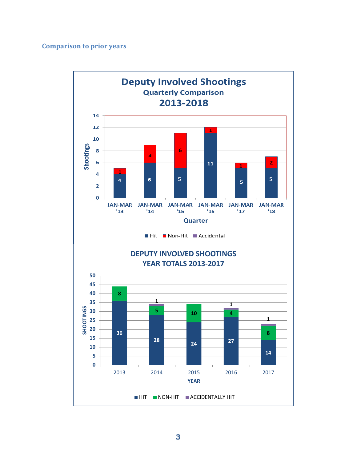## **Comparison to prior years**

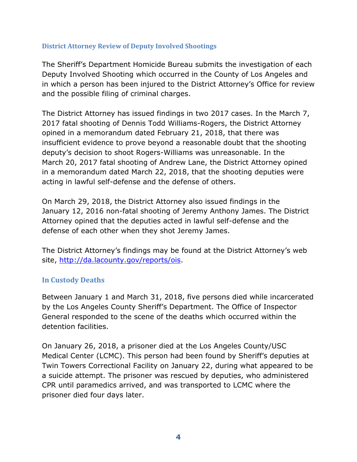### **District Attorney Review of Deputy Involved Shootings**

The Sheriff's Department Homicide Bureau submits the investigation of each Deputy Involved Shooting which occurred in the County of Los Angeles and in which a person has been injured to the District Attorney's Office for review and the possible filing of criminal charges.

The District Attorney has issued findings in two 2017 cases. In the March 7, 2017 fatal shooting of Dennis Todd Williams-Rogers, the District Attorney opined in a memorandum dated February 21, 2018, that there was insufficient evidence to prove beyond a reasonable doubt that the shooting deputy's decision to shoot Rogers-Williams was unreasonable. In the March 20, 2017 fatal shooting of Andrew Lane, the District Attorney opined in a memorandum dated March 22, 2018, that the shooting deputies were acting in lawful self-defense and the defense of others.

On March 29, 2018, the District Attorney also issued findings in the January 12, 2016 non-fatal shooting of Jeremy Anthony James. The District Attorney opined that the deputies acted in lawful self-defense and the defense of each other when they shot Jeremy James.

The District Attorney's findings may be found at the District Attorney's web site, [http://da.lacounty.gov/reports/ois.](http://da.lacounty.gov/reports/ois)

### **In Custody Deaths**

Between January 1 and March 31, 2018, five persons died while incarcerated by the Los Angeles County Sheriff's Department. The Office of Inspector General responded to the scene of the deaths which occurred within the detention facilities.

On January 26, 2018, a prisoner died at the Los Angeles County/USC Medical Center (LCMC). This person had been found by Sheriff's deputies at Twin Towers Correctional Facility on January 22, during what appeared to be a suicide attempt. The prisoner was rescued by deputies, who administered CPR until paramedics arrived, and was transported to LCMC where the prisoner died four days later.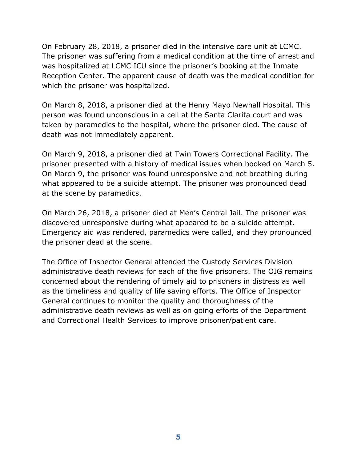On February 28, 2018, a prisoner died in the intensive care unit at LCMC. The prisoner was suffering from a medical condition at the time of arrest and was hospitalized at LCMC ICU since the prisoner's booking at the Inmate Reception Center. The apparent cause of death was the medical condition for which the prisoner was hospitalized.

On March 8, 2018, a prisoner died at the Henry Mayo Newhall Hospital. This person was found unconscious in a cell at the Santa Clarita court and was taken by paramedics to the hospital, where the prisoner died. The cause of death was not immediately apparent.

On March 9, 2018, a prisoner died at Twin Towers Correctional Facility. The prisoner presented with a history of medical issues when booked on March 5. On March 9, the prisoner was found unresponsive and not breathing during what appeared to be a suicide attempt. The prisoner was pronounced dead at the scene by paramedics.

On March 26, 2018, a prisoner died at Men's Central Jail. The prisoner was discovered unresponsive during what appeared to be a suicide attempt. Emergency aid was rendered, paramedics were called, and they pronounced the prisoner dead at the scene.

The Office of Inspector General attended the Custody Services Division administrative death reviews for each of the five prisoners. The OIG remains concerned about the rendering of timely aid to prisoners in distress as well as the timeliness and quality of life saving efforts. The Office of Inspector General continues to monitor the quality and thoroughness of the administrative death reviews as well as on going efforts of the Department and Correctional Health Services to improve prisoner/patient care.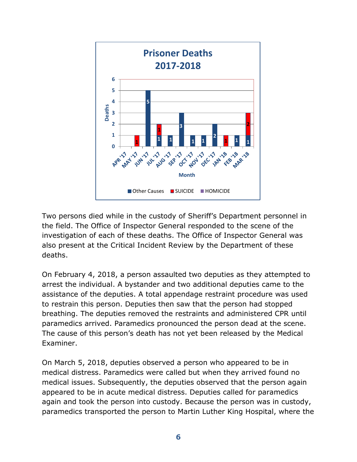

Two persons died while in the custody of Sheriff's Department personnel in the field. The Office of Inspector General responded to the scene of the investigation of each of these deaths. The Office of Inspector General was also present at the Critical Incident Review by the Department of these deaths.

On February 4, 2018, a person assaulted two deputies as they attempted to arrest the individual. A bystander and two additional deputies came to the assistance of the deputies. A total appendage restraint procedure was used to restrain this person. Deputies then saw that the person had stopped breathing. The deputies removed the restraints and administered CPR until paramedics arrived. Paramedics pronounced the person dead at the scene. The cause of this person's death has not yet been released by the Medical Examiner.

On March 5, 2018, deputies observed a person who appeared to be in medical distress. Paramedics were called but when they arrived found no medical issues. Subsequently, the deputies observed that the person again appeared to be in acute medical distress. Deputies called for paramedics again and took the person into custody. Because the person was in custody, paramedics transported the person to Martin Luther King Hospital, where the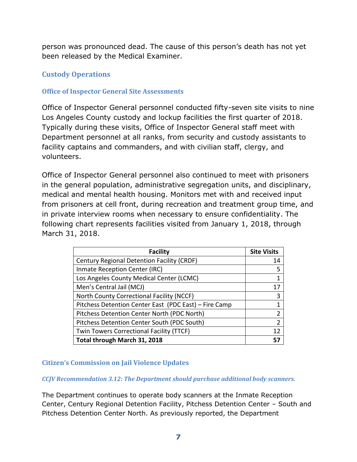person was pronounced dead. The cause of this person's death has not yet been released by the Medical Examiner.

# **Custody Operations**

## **Office of Inspector General Site Assessments**

Office of Inspector General personnel conducted fifty-seven site visits to nine Los Angeles County custody and lockup facilities the first quarter of 2018. Typically during these visits, Office of Inspector General staff meet with Department personnel at all ranks, from security and custody assistants to facility captains and commanders, and with civilian staff, clergy, and volunteers.

Office of Inspector General personnel also continued to meet with prisoners in the general population, administrative segregation units, and disciplinary, medical and mental health housing. Monitors met with and received input from prisoners at cell front, during recreation and treatment group time, and in private interview rooms when necessary to ensure confidentiality. The following chart represents facilities visited from January 1, 2018, through March 31, 2018.

| <b>Facility</b>                                       | <b>Site Visits</b> |
|-------------------------------------------------------|--------------------|
| Century Regional Detention Facility (CRDF)            | 14                 |
| Inmate Reception Center (IRC)                         | 5                  |
| Los Angeles County Medical Center (LCMC)              |                    |
| Men's Central Jail (MCJ)                              | 17                 |
| North County Correctional Facility (NCCF)             | 3                  |
| Pitchess Detention Center East (PDC East) - Fire Camp |                    |
| Pitchess Detention Center North (PDC North)           | 2                  |
| Pitchess Detention Center South (PDC South)           | 2                  |
| Twin Towers Correctional Facility (TTCF)              | 12                 |
| Total through March 31, 2018                          |                    |

## **Citizen's Commission on Jail Violence Updates**

#### *CCJV Recommendation 3.12: The Department should purchase additional body scanners.*

The Department continues to operate body scanners at the Inmate Reception Center, Century Regional Detention Facility, Pitchess Detention Center – South and Pitchess Detention Center North. As previously reported, the Department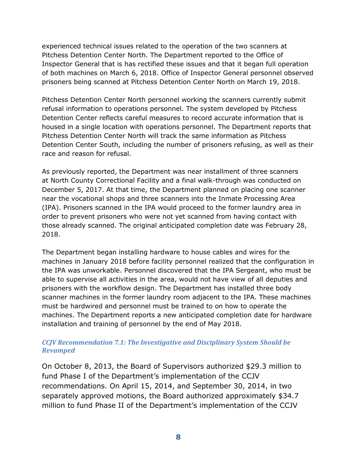experienced technical issues related to the operation of the two scanners at Pitchess Detention Center North. The Department reported to the Office of Inspector General that is has rectified these issues and that it began full operation of both machines on March 6, 2018. Office of Inspector General personnel observed prisoners being scanned at Pitchess Detention Center North on March 19, 2018.

Pitchess Detention Center North personnel working the scanners currently submit refusal information to operations personnel. The system developed by Pitchess Detention Center reflects careful measures to record accurate information that is housed in a single location with operations personnel. The Department reports that Pitchess Detention Center North will track the same information as Pitchess Detention Center South, including the number of prisoners refusing, as well as their race and reason for refusal.

As previously reported, the Department was near installment of three scanners at North County Correctional Facility and a final walk-through was conducted on December 5, 2017. At that time, the Department planned on placing one scanner near the vocational shops and three scanners into the Inmate Processing Area (IPA). Prisoners scanned in the IPA would proceed to the former laundry area in order to prevent prisoners who were not yet scanned from having contact with those already scanned. The original anticipated completion date was February 28, 2018.

The Department began installing hardware to house cables and wires for the machines in January 2018 before facility personnel realized that the configuration in the IPA was unworkable. Personnel discovered that the IPA Sergeant, who must be able to supervise all activities in the area, would not have view of all deputies and prisoners with the workflow design. The Department has installed three body scanner machines in the former laundry room adjacent to the IPA. These machines must be hardwired and personnel must be trained to on how to operate the machines. The Department reports a new anticipated completion date for hardware installation and training of personnel by the end of May 2018.

### *CCJV Recommendation 7.1: The Investigative and Disciplinary System Should be Revamped*

On October 8, 2013, the Board of Supervisors authorized \$29.3 million to fund Phase I of the Department's implementation of the CCJV recommendations. On April 15, 2014, and September 30, 2014, in two separately approved motions, the Board authorized approximately \$34.7 million to fund Phase II of the Department's implementation of the CCJV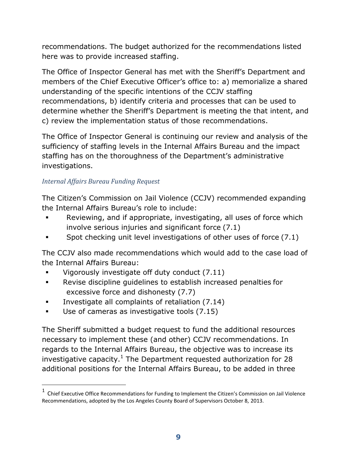recommendations. The budget authorized for the recommendations listed here was to provide increased staffing.

The Office of Inspector General has met with the Sheriff's Department and members of the Chief Executive Officer's office to: a) memorialize a shared understanding of the specific intentions of the CCJV staffing recommendations, b) identify criteria and processes that can be used to determine whether the Sheriff's Department is meeting the that intent, and c) review the implementation status of those recommendations.

The Office of Inspector General is continuing our review and analysis of the sufficiency of staffing levels in the Internal Affairs Bureau and the impact staffing has on the thoroughness of the Department's administrative investigations.

## *Internal Affairs Bureau Funding Request*

 $\overline{a}$ 

The Citizen's Commission on Jail Violence (CCJV) recommended expanding the Internal Affairs Bureau's role to include:

- Reviewing, and if appropriate, investigating, all uses of force which involve serious injuries and significant force (7.1)
- Spot checking unit level investigations of other uses of force (7.1)

The CCJV also made recommendations which would add to the case load of the Internal Affairs Bureau:

- Vigorously investigate off duty conduct (7.11)
- Revise discipline guidelines to establish increased penalties for excessive force and dishonesty (7.7)
- Investigate all complaints of retaliation (7.14)
- Use of cameras as investigative tools (7.15)

The Sheriff submitted a budget request to fund the additional resources necessary to implement these (and other) CCJV recommendations. In regards to the Internal Affairs Bureau, the objective was to increase its investigative capacity.<sup>1</sup> The Department requested authorization for 28 additional positions for the Internal Affairs Bureau, to be added in three

 $<sup>1</sup>$  Chief Executive Office Recommendations for Funding to Implement the Citizen's Commission on Jail Violence</sup> Recommendations, adopted by the Los Angeles County Board of Supervisors October 8, 2013.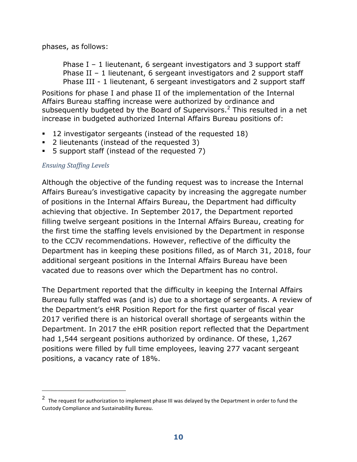phases, as follows:

Phase  $I - 1$  lieutenant, 6 sergeant investigators and 3 support staff Phase II – 1 lieutenant, 6 sergeant investigators and 2 support staff Phase III - 1 lieutenant, 6 sergeant investigators and 2 support staff

Positions for phase I and phase II of the implementation of the Internal Affairs Bureau staffing increase were authorized by ordinance and subsequently budgeted by the Board of Supervisors.<sup>2</sup> This resulted in a net increase in budgeted authorized Internal Affairs Bureau positions of:

- 12 investigator sergeants (instead of the requested 18)
- 2 lieutenants (instead of the requested 3)
- 5 support staff (instead of the requested 7)

## *Ensuing Staffing Levels*

 $\overline{a}$ 

Although the objective of the funding request was to increase the Internal Affairs Bureau's investigative capacity by increasing the aggregate number of positions in the Internal Affairs Bureau, the Department had difficulty achieving that objective. In September 2017, the Department reported filling twelve sergeant positions in the Internal Affairs Bureau, creating for the first time the staffing levels envisioned by the Department in response to the CCJV recommendations. However, reflective of the difficulty the Department has in keeping these positions filled, as of March 31, 2018, four additional sergeant positions in the Internal Affairs Bureau have been vacated due to reasons over which the Department has no control.

The Department reported that the difficulty in keeping the Internal Affairs Bureau fully staffed was (and is) due to a shortage of sergeants. A review of the Department's eHR Position Report for the first quarter of fiscal year 2017 verified there is an historical overall shortage of sergeants within the Department. In 2017 the eHR position report reflected that the Department had 1,544 sergeant positions authorized by ordinance. Of these, 1,267 positions were filled by full time employees, leaving 277 vacant sergeant positions, a vacancy rate of 18%.

<sup>&</sup>lt;sup>2</sup> The request for authorization to implement phase III was delayed by the Department in order to fund the Custody Compliance and Sustainability Bureau.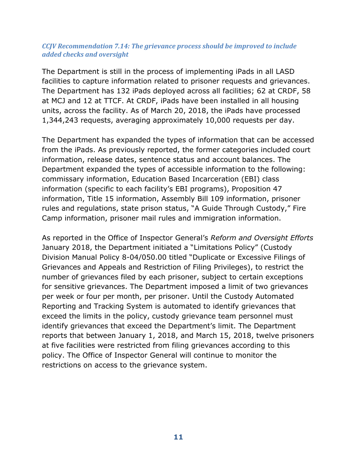#### *CCJV Recommendation 7.14: The grievance process should be improved to include added checks and oversight*

The Department is still in the process of implementing iPads in all LASD facilities to capture information related to prisoner requests and grievances. The Department has 132 iPads deployed across all facilities; 62 at CRDF, 58 at MCJ and 12 at TTCF. At CRDF, iPads have been installed in all housing units, across the facility. As of March 20, 2018, the iPads have processed 1,344,243 requests, averaging approximately 10,000 requests per day.

The Department has expanded the types of information that can be accessed from the iPads. As previously reported, the former categories included court information, release dates, sentence status and account balances. The Department expanded the types of accessible information to the following: commissary information, Education Based Incarceration (EBI) class information (specific to each facility's EBI programs), Proposition 47 information, Title 15 information, Assembly Bill 109 information, prisoner rules and regulations, state prison status, "A Guide Through Custody," Fire Camp information, prisoner mail rules and immigration information.

As reported in the Office of Inspector General's *Reform and Oversight Efforts*  January 2018, the Department initiated a "Limitations Policy" (Custody Division Manual Policy 8-04/050.00 titled "Duplicate or Excessive Filings of Grievances and Appeals and Restriction of Filing Privileges), to restrict the number of grievances filed by each prisoner, subject to certain exceptions for sensitive grievances. The Department imposed a limit of two grievances per week or four per month, per prisoner. Until the Custody Automated Reporting and Tracking System is automated to identify grievances that exceed the limits in the policy, custody grievance team personnel must identify grievances that exceed the Department's limit. The Department reports that between January 1, 2018, and March 15, 2018, twelve prisoners at five facilities were restricted from filing grievances according to this policy. The Office of Inspector General will continue to monitor the restrictions on access to the grievance system.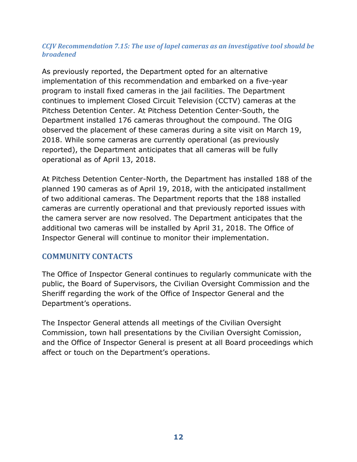#### *CCJV Recommendation 7.15: The use of lapel cameras as an investigative tool should be broadened*

As previously reported, the Department opted for an alternative implementation of this recommendation and embarked on a five-year program to install fixed cameras in the jail facilities. The Department continues to implement Closed Circuit Television (CCTV) cameras at the Pitchess Detention Center. At Pitchess Detention Center-South, the Department installed 176 cameras throughout the compound. The OIG observed the placement of these cameras during a site visit on March 19, 2018. While some cameras are currently operational (as previously reported), the Department anticipates that all cameras will be fully operational as of April 13, 2018.

At Pitchess Detention Center-North, the Department has installed 188 of the planned 190 cameras as of April 19, 2018, with the anticipated installment of two additional cameras. The Department reports that the 188 installed cameras are currently operational and that previously reported issues with the camera server are now resolved. The Department anticipates that the additional two cameras will be installed by April 31, 2018. The Office of Inspector General will continue to monitor their implementation.

## **COMMUNITY CONTACTS**

The Office of Inspector General continues to regularly communicate with the public, the Board of Supervisors, the Civilian Oversight Commission and the Sheriff regarding the work of the Office of Inspector General and the Department's operations.

The Inspector General attends all meetings of the Civilian Oversight Commission, town hall presentations by the Civilian Oversight Comission, and the Office of Inspector General is present at all Board proceedings which affect or touch on the Department's operations.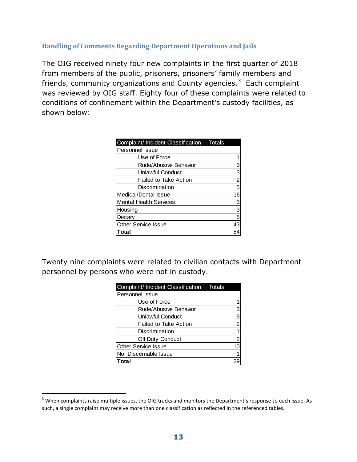## **Handling of Comments Regarding Department Operations and Jails**

The OIG received ninety four new complaints in the first quarter of 2018 from members of the public, prisoners, prisoners' family members and friends, community organizations and County agencies.<sup>3</sup> Each complaint was reviewed by OIG staff. Eighty four of these complaints were related to conditions of confinement within the Department's custody facilities, as shown below:

| Complaint/ Incident Classification | Totals |
|------------------------------------|--------|
| <b>Personnel Issue</b>             |        |
| Use of Force                       |        |
| Rude/Abusive Behavior              |        |
| Unlawful Conduct                   |        |
| <b>Failed to Take Action</b>       |        |
| Discrimination                     | 5      |
| Medical/Dental Issue               | 16     |
| <b>Mental Health Services</b>      | 3      |
| Housing                            | 3      |
| Dietarv                            | 5      |
| <b>Other Service Issue</b>         | 43     |
| `otal                              |        |

Twenty nine complaints were related to civilian contacts with Department personnel by persons who were not in custody.

| Complaint/ Incident Classification Totals |   |
|-------------------------------------------|---|
| Personnel Issue                           |   |
| Use of Force                              |   |
| Rude/Abusive Behavior                     |   |
| Unlawful Conduct                          |   |
| Failed to Take Action                     | 2 |
| Discrimination                            |   |
| Off Duty Conduct                          | 2 |
| <b>Other Service Issue</b>                |   |
| No Discernable Issue                      |   |
| ำกtal                                     |   |

 $\overline{a}$ 

<sup>&</sup>lt;sup>3</sup> When complaints raise multiple issues, the OIG tracks and monitors the Department's response to each issue. As such, a single complaint may receive more than one classification as reflected in the referenced tables.